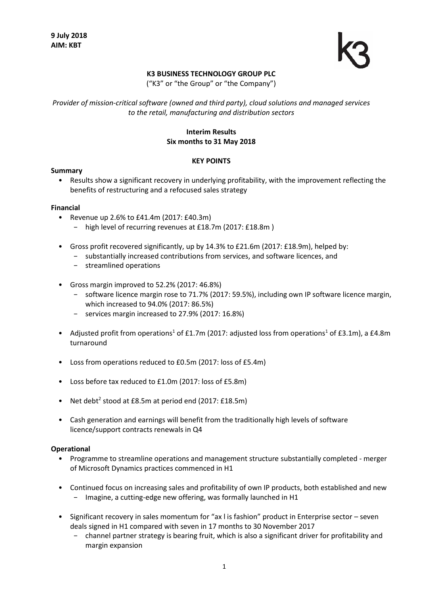

## **K3 BUSINESS TECHNOLOGY GROUP PLC**

("K3" or "the Group" or "the Company")

*Provider of mission-critical software (owned and third party), cloud solutions and managed services to the retail, manufacturing and distribution sectors*

## **Interim Results Six months to 31 May 2018**

#### **KEY POINTS**

#### **Summary**

• Results show a significant recovery in underlying profitability, with the improvement reflecting the benefits of restructuring and a refocused sales strategy

#### **Financial**

- Revenue up 2.6% to £41.4m (2017: £40.3m)
	- − high level of recurring revenues at £18.7m (2017: £18.8m )
- Gross profit recovered significantly, up by 14.3% to £21.6m (2017: £18.9m), helped by:
	- − substantially increased contributions from services, and software licences, and
	- − streamlined operations
- Gross margin improved to 52.2% (2017: 46.8%)
	- − software licence margin rose to 71.7% (2017: 59.5%), including own IP software licence margin, which increased to 94.0% (2017: 86.5%)
	- − services margin increased to 27.9% (2017: 16.8%)
- Adjusted profit from operations<sup>1</sup> of £1.7m (2017: adjusted loss from operations<sup>1</sup> of £3.1m), a £4.8m turnaround
- Loss from operations reduced to £0.5m (2017: loss of £5.4m)
- Loss before tax reduced to £1.0m (2017: loss of £5.8m)
- Net debt<sup>2</sup> stood at £8.5m at period end (2017: £18.5m)
- Cash generation and earnings will benefit from the traditionally high levels of software licence/support contracts renewals in Q4

#### **Operational**

- Programme to streamline operations and management structure substantially completed merger of Microsoft Dynamics practices commenced in H1
- Continued focus on increasing sales and profitability of own IP products, both established and new − Imagine, a cutting-edge new offering, was formally launched in H1
- Significant recovery in sales momentum for "ax l is fashion" product in Enterprise sector seven deals signed in H1 compared with seven in 17 months to 30 November 2017
	- − channel partner strategy is bearing fruit, which is also a significant driver for profitability and margin expansion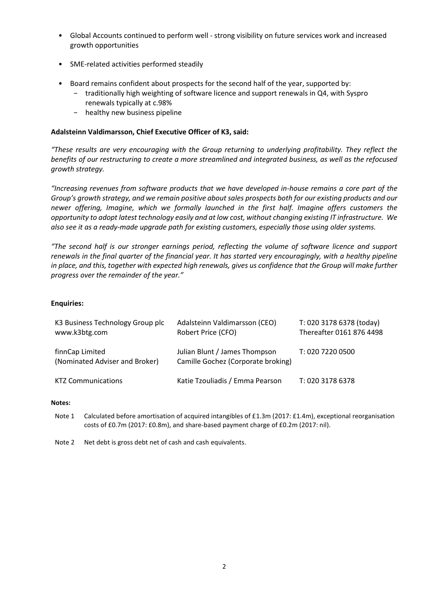- Global Accounts continued to perform well strong visibility on future services work and increased growth opportunities
- SME-related activities performed steadily
- Board remains confident about prospects for the second half of the year, supported by:
	- − traditionally high weighting of software licence and support renewals in Q4, with Syspro renewals typically at c.98%
	- − healthy new business pipeline

## **Adalsteinn Valdimarsson, Chief Executive Officer of K3, said:**

*"These results are very encouraging with the Group returning to underlying profitability. They reflect the benefits of our restructuring to create a more streamlined and integrated business, as well as the refocused growth strategy.* 

*"Increasing revenues from software products that we have developed in-house remains a core part of the Group's growth strategy, and we remain positive about sales prospects both for our existing products and our newer offering, Imagine, which we formally launched in the first half. Imagine offers customers the opportunity to adopt latest technology easily and at low cost, without changing existing IT infrastructure. We also see it as a ready-made upgrade path for existing customers, especially those using older systems.* 

*"The second half is our stronger earnings period, reflecting the volume of software licence and support renewals in the final quarter of the financial year. It has started very encouragingly, with a healthy pipeline in place, and this, together with expected high renewals, gives us confidence that the Group will make further progress over the remainder of the year."*

## **Enquiries:**

| K3 Business Technology Group plc<br>www.k3btg.com | Adalsteinn Valdimarsson (CEO)<br>Robert Price (CFO)                 | T: 020 3178 6378 (today)<br>Thereafter 0161 876 4498 |
|---------------------------------------------------|---------------------------------------------------------------------|------------------------------------------------------|
| finnCap Limited<br>(Nominated Adviser and Broker) | Julian Blunt / James Thompson<br>Camille Gochez (Corporate broking) | T: 020 7220 0500                                     |
| <b>KTZ Communications</b>                         | Katie Tzouliadis / Emma Pearson                                     | T: 020 3178 6378                                     |

#### **Notes:**

Note 1 Calculated before amortisation of acquired intangibles of £1.3m (2017: £1.4m), exceptional reorganisation costs of £0.7m (2017: £0.8m), and share-based payment charge of £0.2m (2017: nil).

Note 2 Net debt is gross debt net of cash and cash equivalents.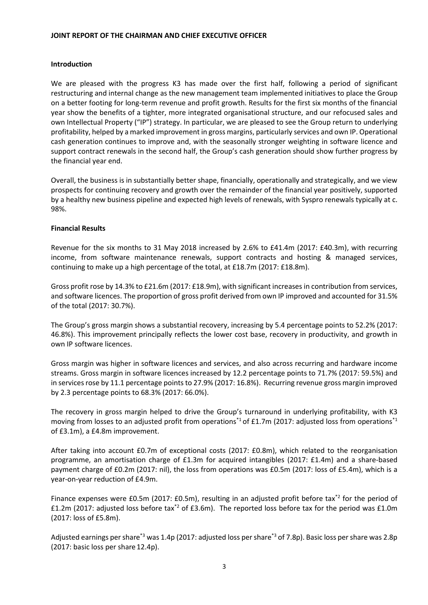## **JOINT REPORT OF THE CHAIRMAN AND CHIEF EXECUTIVE OFFICER**

### **Introduction**

We are pleased with the progress K3 has made over the first half, following a period of significant restructuring and internal change as the new management team implemented initiatives to place the Group on a better footing for long-term revenue and profit growth. Results for the first six months of the financial year show the benefits of a tighter, more integrated organisational structure, and our refocused sales and own Intellectual Property ("IP") strategy. In particular, we are pleased to see the Group return to underlying profitability, helped by a marked improvement in gross margins, particularly services and own IP. Operational cash generation continues to improve and, with the seasonally stronger weighting in software licence and support contract renewals in the second half, the Group's cash generation should show further progress by the financial year end.

Overall, the business is in substantially better shape, financially, operationally and strategically, and we view prospects for continuing recovery and growth over the remainder of the financial year positively, supported by a healthy new business pipeline and expected high levels of renewals, with Syspro renewals typically at c. 98%.

#### **Financial Results**

Revenue for the six months to 31 May 2018 increased by 2.6% to £41.4m (2017: £40.3m), with recurring income, from software maintenance renewals, support contracts and hosting & managed services, continuing to make up a high percentage of the total, at £18.7m (2017: £18.8m).

Gross profit rose by 14.3% to £21.6m (2017: £18.9m), with significant increases in contribution from services, and software licences. The proportion of gross profit derived from own IP improved and accounted for 31.5% of the total (2017: 30.7%).

The Group's gross margin shows a substantial recovery, increasing by 5.4 percentage points to 52.2% (2017: 46.8%). This improvement principally reflects the lower cost base, recovery in productivity, and growth in own IP software licences.

Gross margin was higher in software licences and services, and also across recurring and hardware income streams. Gross margin in software licences increased by 12.2 percentage points to 71.7% (2017: 59.5%) and in services rose by 11.1 percentage points to 27.9% (2017: 16.8%). Recurring revenue gross margin improved by 2.3 percentage points to 68.3% (2017: 66.0%).

The recovery in gross margin helped to drive the Group's turnaround in underlying profitability, with K3 moving from losses to an adjusted profit from operations<sup>\*1</sup> of £1.7m (2017: adjusted loss from operations<sup>\*1</sup> of £3.1m), a £4.8m improvement.

After taking into account £0.7m of exceptional costs (2017: £0.8m), which related to the reorganisation programme, an amortisation charge of £1.3m for acquired intangibles (2017: £1.4m) and a share-based payment charge of £0.2m (2017: nil), the loss from operations was £0.5m (2017: loss of £5.4m), which is a year-on-year reduction of £4.9m.

Finance expenses were £0.5m (2017: £0.5m), resulting in an adjusted profit before tax<sup>\*2</sup> for the period of £1.2m (2017: adjusted loss before tax<sup>\*2</sup> of £3.6m). The reported loss before tax for the period was £1.0m (2017: loss of £5.8m).

Adjusted earnings per share<sup>\*3</sup> was 1.4p (2017: adjusted loss per share<sup>\*3</sup> of 7.8p). Basic loss per share was 2.8p (2017: basic loss per share 12.4p).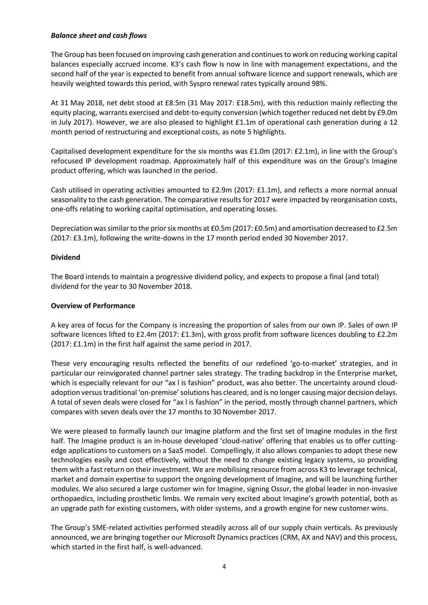## *Balance sheet and cash flows*

The Group has been focused on improving cash generation and continues to work on reducing working capital balances especially accrued income. K3's cash flow is now in line with management expectations, and the second half of the year is expected to benefit from annual software licence and support renewals, which are heavily weighted towards this period, with Syspro renewal rates typically around 98%.

At 31 May 2018, net debt stood at £8.5m (31 May 2017: £18.5m), with this reduction mainly reflecting the equity placing, warrants exercised and debt-to-equity conversion (which together reduced net debt by £9.0m in July 2017). However, we are also pleased to highlight £1.1m of operational cash generation during a 12 month period of restructuring and exceptional costs, as note 5 highlights.

Capitalised development expenditure for the six months was £1.0m (2017: £2.1m), in line with the Group's refocused IP development roadmap. Approximately half of this expenditure was on the Group's Imagine product offering, which was launched in the period.

Cash utilised in operating activities amounted to £2.9m (2017: £1.1m), and reflects a more normal annual seasonality to the cash generation. The comparative results for 2017 were impacted by reorganisation costs, one-offs relating to working capital optimisation, and operating losses.

Depreciation was similar to the prior six months at £0.5m (2017: £0.5m) and amortisation decreased to £2.5m (2017: £3.1m), following the write-downs in the 17 month period ended 30 November 2017.

# **Dividend**

The Board intends to maintain a progressive dividend policy, and expects to propose a final (and total) dividend for the year to 30 November 2018.

## **Overview of Performance**

A key area of focus for the Company is increasing the proportion of sales from our own IP. Sales of own IP software licences lifted to £2.4m (2017: £1.3m), with gross profit from software licences doubling to £2.2m (2017: £1.1m) in the first half against the same period in 2017.

These very encouraging results reflected the benefits of our redefined 'go-to-market' strategies, and in particular our reinvigorated channel partner sales strategy. The trading backdrop in the Enterprise market, which is especially relevant for our "ax I is fashion" product, was also better. The uncertainty around cloudadoption versus traditional 'on-premise' solutions has cleared, and is no longer causing major decision delays. A total of seven deals were closed for "ax l is fashion" in the period, mostly through channel partners, which compares with seven deals over the 17 months to 30 November 2017.

We were pleased to formally launch our Imagine platform and the first set of Imagine modules in the first half. The Imagine product is an in-house developed 'cloud-native' offering that enables us to offer cuttingedge applications to customers on a SaaS model. Compellingly, it also allows companies to adopt these new technologies easily and cost effectively, without the need to change existing legacy systems, so providing them with a fast return on their investment. We are mobilising resource from across K3 to leverage technical, market and domain expertise to support the ongoing development of Imagine, and will be launching further modules. We also secured a large customer win for Imagine, signing Ossur, the global leader in non-invasive orthopaedics, including prosthetic limbs. We remain very excited about Imagine's growth potential, both as an upgrade path for existing customers, with older systems, and a growth engine for new customer wins.

The Group's SME-related activities performed steadily across all of our supply chain verticals. As previously announced, we are bringing together our Microsoft Dynamics practices (CRM, AX and NAV) and this process, which started in the first half, is well-advanced.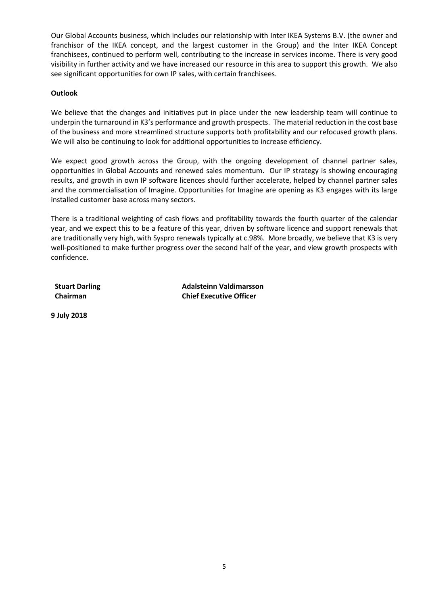Our Global Accounts business, which includes our relationship with Inter IKEA Systems B.V. (the owner and franchisor of the IKEA concept, and the largest customer in the Group) and the Inter IKEA Concept franchisees, continued to perform well, contributing to the increase in services income. There is very good visibility in further activity and we have increased our resource in this area to support this growth. We also see significant opportunities for own IP sales, with certain franchisees.

# **Outlook**

We believe that the changes and initiatives put in place under the new leadership team will continue to underpin the turnaround in K3's performance and growth prospects. The material reduction in the cost base of the business and more streamlined structure supports both profitability and our refocused growth plans. We will also be continuing to look for additional opportunities to increase efficiency.

We expect good growth across the Group, with the ongoing development of channel partner sales, opportunities in Global Accounts and renewed sales momentum. Our IP strategy is showing encouraging results, and growth in own IP software licences should further accelerate, helped by channel partner sales and the commercialisation of Imagine. Opportunities for Imagine are opening as K3 engages with its large installed customer base across many sectors.

There is a traditional weighting of cash flows and profitability towards the fourth quarter of the calendar year, and we expect this to be a feature of this year, driven by software licence and support renewals that are traditionally very high, with Syspro renewals typically at c.98%. More broadly, we believe that K3 is very well-positioned to make further progress over the second half of the year, and view growth prospects with confidence.

**Stuart Darling Adalsteinn Valdimarsson Chairman Chief Executive Officer**

**9 July 2018**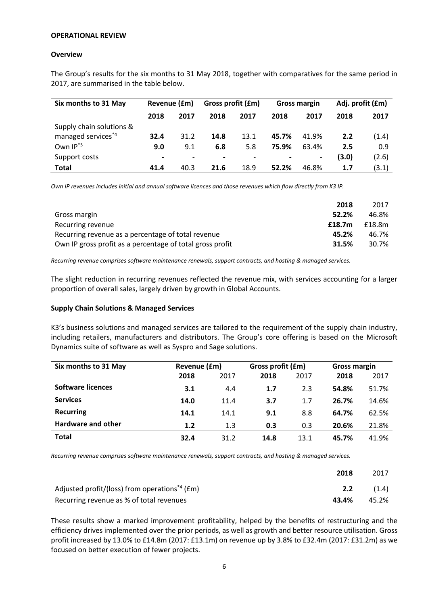#### **OPERATIONAL REVIEW**

#### **Overview**

The Group's results for the six months to 31 May 2018, together with comparatives for the same period in 2017, are summarised in the table below.

| Six months to 31 May           | Revenue (£m)             |                          | Gross profit (£m) |      | <b>Gross margin</b> |                          | Adj. profit (£m) |       |
|--------------------------------|--------------------------|--------------------------|-------------------|------|---------------------|--------------------------|------------------|-------|
|                                | 2018                     | 2017                     | 2018              | 2017 | 2018                | 2017                     | 2018             | 2017  |
| Supply chain solutions &       |                          |                          |                   |      |                     |                          |                  |       |
| managed services <sup>*4</sup> | 32.4                     | 31.2                     | 14.8              | 13.1 | 45.7%               | 41.9%                    | 2.2              | (1.4) |
| Own IP <sup>*5</sup>           | 9.0                      | 9.1                      | 6.8               | 5.8  | 75.9%               | 63.4%                    | 2.5              | 0.9   |
| Support costs                  | $\overline{\phantom{0}}$ | $\overline{\phantom{0}}$ | $\,$              |      | $\blacksquare$      | $\overline{\phantom{a}}$ | (3.0)            | (2.6) |
| Total                          | 41.4                     | 40.3                     | 21.6              | 18.9 | 52.2%               | 46.8%                    | 1.7              | (3.1) |

*Own IP revenues includes initial and annual software licences and those revenues which flow directly from K3 IP.*

|                                                           | 2018   | 2017   |
|-----------------------------------------------------------|--------|--------|
| Gross margin                                              | 52.2%  | 46.8%  |
| Recurring revenue                                         | £18.7m | £18.8m |
| Recurring revenue as a percentage of total revenue        | 45.2%  | 46.7%  |
| Own IP gross profit as a percentage of total gross profit | 31.5%  | 30.7%  |

*Recurring revenue comprises software maintenance renewals, support contracts, and hosting & managed services.*

The slight reduction in recurring revenues reflected the revenue mix, with services accounting for a larger proportion of overall sales, largely driven by growth in Global Accounts.

#### **Supply Chain Solutions & Managed Services**

K3's business solutions and managed services are tailored to the requirement of the supply chain industry, including retailers, manufacturers and distributors. The Group's core offering is based on the Microsoft Dynamics suite of software as well as Syspro and Sage solutions.

| Six months to 31 May      |      | Revenue (£m) |      | Gross profit (£m) | <b>Gross margin</b> |       |  |
|---------------------------|------|--------------|------|-------------------|---------------------|-------|--|
|                           | 2018 | 2017         | 2018 | 2017              | 2018                | 2017  |  |
| <b>Software licences</b>  | 3.1  | 4.4          | 1.7  | 2.3               | 54.8%               | 51.7% |  |
| <b>Services</b>           | 14.0 | 11.4         | 3.7  | 1.7               | 26.7%               | 14.6% |  |
| <b>Recurring</b>          | 14.1 | 14.1         | 9.1  | 8.8               | 64.7%               | 62.5% |  |
| <b>Hardware and other</b> | 1.2  | 1.3          | 0.3  | 0.3               | 20.6%               | 21.8% |  |
| <b>Total</b>              | 32.4 | 31.2         | 14.8 | 13.1              | 45.7%               | 41.9% |  |

*Recurring revenue comprises software maintenance renewals, support contracts, and hosting & managed services.*

|                                                               | 2018             | 2017  |
|---------------------------------------------------------------|------------------|-------|
| Adjusted profit/(loss) from operations <sup>*4</sup> ( $Em$ ) | 2.2 <sub>2</sub> | (1.4) |
| Recurring revenue as % of total revenues                      | 43.4%            | 45.2% |

These results show a marked improvement profitability, helped by the benefits of restructuring and the efficiency drives implemented over the prior periods, as well as growth and better resource utilisation. Gross profit increased by 13.0% to £14.8m (2017: £13.1m) on revenue up by 3.8% to £32.4m (2017: £31.2m) as we focused on better execution of fewer projects.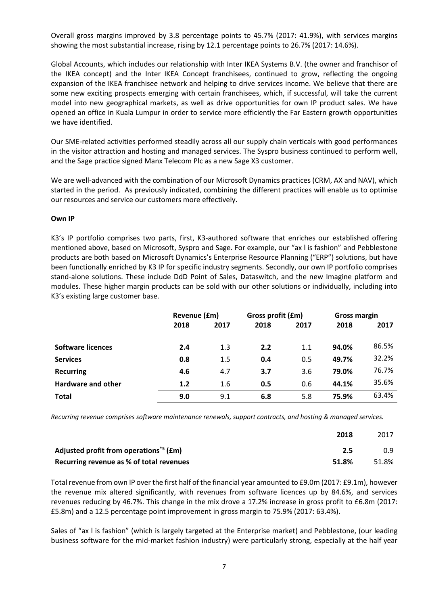Overall gross margins improved by 3.8 percentage points to 45.7% (2017: 41.9%), with services margins showing the most substantial increase, rising by 12.1 percentage points to 26.7% (2017: 14.6%).

Global Accounts, which includes our relationship with Inter IKEA Systems B.V. (the owner and franchisor of the IKEA concept) and the Inter IKEA Concept franchisees, continued to grow, reflecting the ongoing expansion of the IKEA franchisee network and helping to drive services income. We believe that there are some new exciting prospects emerging with certain franchisees, which, if successful, will take the current model into new geographical markets, as well as drive opportunities for own IP product sales. We have opened an office in Kuala Lumpur in order to service more efficiently the Far Eastern growth opportunities we have identified.

Our SME-related activities performed steadily across all our supply chain verticals with good performances in the visitor attraction and hosting and managed services. The Syspro business continued to perform well, and the Sage practice signed Manx Telecom Plc as a new Sage X3 customer.

We are well-advanced with the combination of our Microsoft Dynamics practices (CRM, AX and NAV), which started in the period. As previously indicated, combining the different practices will enable us to optimise our resources and service our customers more effectively.

## **Own IP**

K3's IP portfolio comprises two parts, first, K3-authored software that enriches our established offering mentioned above, based on Microsoft, Syspro and Sage. For example, our "ax l is fashion" and Pebblestone products are both based on Microsoft Dynamics's Enterprise Resource Planning ("ERP") solutions, but have been functionally enriched by K3 IP for specific industry segments. Secondly, our own IP portfolio comprises stand-alone solutions. These include DdD Point of Sales, Dataswitch, and the new Imagine platform and modules. These higher margin products can be sold with our other solutions or individually, including into K3's existing large customer base.

|                           | Revenue (£m) |         | Gross profit (£m) |      | Gross margin |       |
|---------------------------|--------------|---------|-------------------|------|--------------|-------|
|                           | 2018         | 2017    | 2018              | 2017 | 2018         | 2017  |
|                           |              |         |                   |      |              |       |
| <b>Software licences</b>  | 2.4          | 1.3     | 2.2               | 1.1  | 94.0%        | 86.5% |
| <b>Services</b>           | 0.8          | 1.5     | 0.4               | 0.5  | 49.7%        | 32.2% |
| <b>Recurring</b>          | 4.6          | 4.7     | 3.7               | 3.6  | 79.0%        | 76.7% |
| <b>Hardware and other</b> | 1.2          | $1.6\,$ | 0.5               | 0.6  | 44.1%        | 35.6% |
| <b>Total</b>              | 9.0          | 9.1     | 6.8               | 5.8  | 75.9%        | 63.4% |

*Recurring revenue comprises software maintenance renewals, support contracts, and hosting & managed services.*

|                                                    | 2018  | 2017  |
|----------------------------------------------------|-------|-------|
| Adjusted profit from operations <sup>*5</sup> (£m) | 2.5   | 0.9   |
| Recurring revenue as % of total revenues           | 51.8% | 51.8% |

Total revenue from own IP over the first half of the financial year amounted to £9.0m (2017: £9.1m), however the revenue mix altered significantly, with revenues from software licences up by 84.6%, and services revenues reducing by 46.7%. This change in the mix drove a 17.2% increase in gross profit to £6.8m (2017: £5.8m) and a 12.5 percentage point improvement in gross margin to 75.9% (2017: 63.4%).

Sales of "ax l is fashion" (which is largely targeted at the Enterprise market) and Pebblestone, (our leading business software for the mid-market fashion industry) were particularly strong, especially at the half year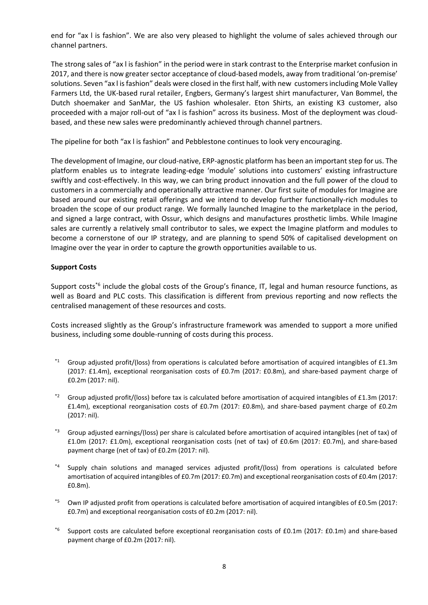end for "ax l is fashion". We are also very pleased to highlight the volume of sales achieved through our channel partners.

The strong sales of "ax l is fashion" in the period were in stark contrast to the Enterprise market confusion in 2017, and there is now greater sector acceptance of cloud-based models, away from traditional 'on-premise' solutions. Seven "ax l is fashion" deals were closed in the first half, with new customers including Mole Valley Farmers Ltd, the UK-based rural retailer, Engbers, Germany's largest shirt manufacturer, Van Bommel, the Dutch shoemaker and SanMar, the US fashion wholesaler. Eton Shirts, an existing K3 customer, also proceeded with a major roll-out of "ax l is fashion" across its business. Most of the deployment was cloudbased, and these new sales were predominantly achieved through channel partners.

The pipeline for both "ax l is fashion" and Pebblestone continues to look very encouraging.

The development of Imagine, our cloud-native, ERP-agnostic platform has been an important step for us. The platform enables us to integrate leading-edge 'module' solutions into customers' existing infrastructure swiftly and cost-effectively. In this way, we can bring product innovation and the full power of the cloud to customers in a commercially and operationally attractive manner. Our first suite of modules for Imagine are based around our existing retail offerings and we intend to develop further functionally-rich modules to broaden the scope of our product range. We formally launched Imagine to the marketplace in the period, and signed a large contract, with Ossur, which designs and manufactures prosthetic limbs. While Imagine sales are currently a relatively small contributor to sales, we expect the Imagine platform and modules to become a cornerstone of our IP strategy, and are planning to spend 50% of capitalised development on Imagine over the year in order to capture the growth opportunities available to us.

# **Support Costs**

Support costs<sup>\*6</sup> include the global costs of the Group's finance, IT, legal and human resource functions, as well as Board and PLC costs. This classification is different from previous reporting and now reflects the centralised management of these resources and costs.

Costs increased slightly as the Group's infrastructure framework was amended to support a more unified business, including some double-running of costs during this process.

- $*1$  Group adjusted profit/(loss) from operations is calculated before amortisation of acquired intangibles of £1.3m (2017: £1.4m), exceptional reorganisation costs of £0.7m (2017: £0.8m), and share-based payment charge of £0.2m (2017: nil).
- $*2$  Group adjusted profit/(loss) before tax is calculated before amortisation of acquired intangibles of £1.3m (2017: £1.4m), exceptional reorganisation costs of £0.7m (2017: £0.8m), and share-based payment charge of £0.2m (2017: nil).
- Group adjusted earnings/(loss) per share is calculated before amortisation of acquired intangibles (net of tax) of £1.0m (2017: £1.0m), exceptional reorganisation costs (net of tax) of £0.6m (2017: £0.7m), and share-based payment charge (net of tax) of £0.2m (2017: nil).
- \*4 Supply chain solutions and managed services adjusted profit/(loss) from operations is calculated before amortisation of acquired intangibles of £0.7m (2017: £0.7m) and exceptional reorganisation costs of £0.4m (2017: £0.8m).
- \*5 Own IP adjusted profit from operations is calculated before amortisation of acquired intangibles of £0.5m (2017: £0.7m) and exceptional reorganisation costs of £0.2m (2017: nil).
- \*6 Support costs are calculated before exceptional reorganisation costs of £0.1m (2017: £0.1m) and share-based payment charge of £0.2m (2017: nil).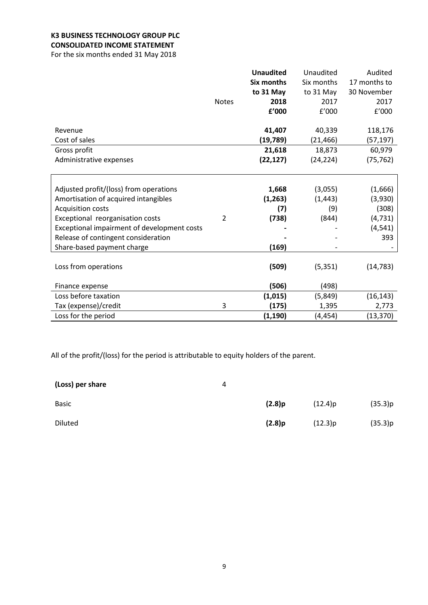# **K3 BUSINESS TECHNOLOGY GROUP PLC CONSOLIDATED INCOME STATEMENT**

For the six months ended 31 May 2018

|                                             |                | <b>Unaudited</b> | Unaudited  | Audited      |
|---------------------------------------------|----------------|------------------|------------|--------------|
|                                             |                | Six months       | Six months | 17 months to |
|                                             |                | to 31 May        | to 31 May  | 30 November  |
|                                             | <b>Notes</b>   | 2018             | 2017       | 2017         |
|                                             |                | £'000            | f'000      | f'000        |
| Revenue                                     |                | 41,407           | 40,339     | 118,176      |
| Cost of sales                               |                | (19, 789)        | (21, 466)  | (57,197)     |
| Gross profit                                |                | 21,618           | 18,873     | 60,979       |
| Administrative expenses                     |                | (22, 127)        | (24, 224)  | (75, 762)    |
|                                             |                |                  |            |              |
| Adjusted profit/(loss) from operations      |                | 1,668            | (3,055)    | (1,666)      |
| Amortisation of acquired intangibles        |                | (1, 263)         | (1, 443)   | (3,930)      |
| <b>Acquisition costs</b>                    |                | (7)              | (9)        | (308)        |
| Exceptional reorganisation costs            | $\overline{2}$ | (738)            | (844)      | (4, 731)     |
| Exceptional impairment of development costs |                |                  |            | (4, 541)     |
| Release of contingent consideration         |                |                  |            | 393          |
| Share-based payment charge                  |                | (169)            |            |              |
| Loss from operations                        |                | (509)            | (5, 351)   | (14, 783)    |
| Finance expense                             |                | (506)            | (498)      |              |
| Loss before taxation                        |                | (1,015)          | (5,849)    | (16, 143)    |
| Tax (expense)/credit                        | 3              | (175)            | 1,395      | 2,773        |
| Loss for the period                         |                | (1, 190)         | (4, 454)   | (13, 370)    |

All of the profit/(loss) for the period is attributable to equity holders of the parent.

| (Loss) per share | 4 |        |         |         |
|------------------|---|--------|---------|---------|
| <b>Basic</b>     |   | (2.8)p | (12.4)p | (35.3)p |
| <b>Diluted</b>   |   | (2.8)p | (12.3)p | (35.3)p |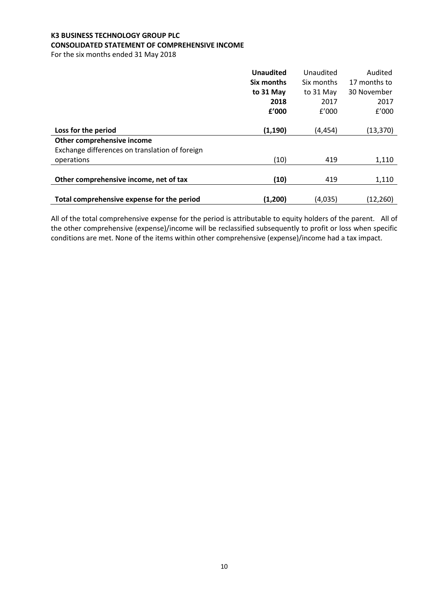# **K3 BUSINESS TECHNOLOGY GROUP PLC CONSOLIDATED STATEMENT OF COMPREHENSIVE INCOME**

For the six months ended 31 May 2018

|                                                | <b>Unaudited</b> | Unaudited  | Audited      |
|------------------------------------------------|------------------|------------|--------------|
|                                                | Six months       | Six months | 17 months to |
|                                                | to 31 May        | to 31 May  | 30 November  |
|                                                | 2018             | 2017       | 2017         |
|                                                | £'000            | £'000      | f'000        |
|                                                |                  |            |              |
| Loss for the period                            | (1, 190)         | (4, 454)   | (13, 370)    |
| Other comprehensive income                     |                  |            |              |
| Exchange differences on translation of foreign |                  |            |              |
| operations                                     | (10)             | 419        | 1,110        |
|                                                |                  |            |              |
| Other comprehensive income, net of tax         | (10)             | 419        | 1,110        |
|                                                |                  |            |              |
| Total comprehensive expense for the period     | (1,200)          | (4,035)    | (12, 260)    |

All of the total comprehensive expense for the period is attributable to equity holders of the parent. All of the other comprehensive (expense)/income will be reclassified subsequently to profit or loss when specific conditions are met. None of the items within other comprehensive (expense)/income had a tax impact.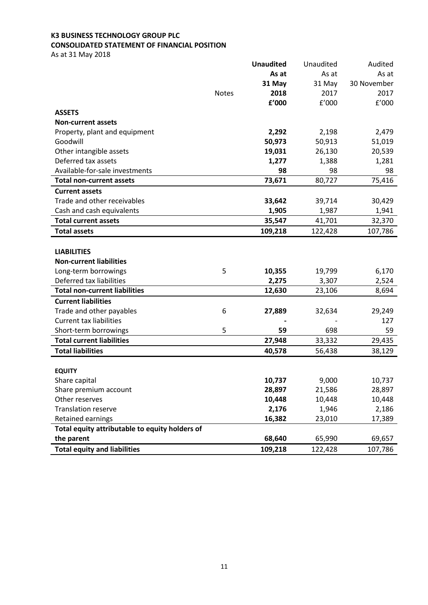# **K3 BUSINESS TECHNOLOGY GROUP PLC CONSOLIDATED STATEMENT OF FINANCIAL POSITION**

As at 31 May 2018

|                                                |              | <b>Unaudited</b> | Unaudited | Audited     |
|------------------------------------------------|--------------|------------------|-----------|-------------|
|                                                |              | As at            | As at     | As at       |
|                                                |              | 31 May           | 31 May    | 30 November |
|                                                | <b>Notes</b> | 2018             | 2017      | 2017        |
|                                                |              | £'000            | f'000     | f'000       |
| <b>ASSETS</b>                                  |              |                  |           |             |
| <b>Non-current assets</b>                      |              |                  |           |             |
| Property, plant and equipment                  |              | 2,292            | 2,198     | 2,479       |
| Goodwill                                       |              | 50,973           | 50,913    | 51,019      |
| Other intangible assets                        |              | 19,031           | 26,130    | 20,539      |
| Deferred tax assets                            |              | 1,277            | 1,388     | 1,281       |
| Available-for-sale investments                 |              | 98               | 98        | 98          |
| <b>Total non-current assets</b>                |              | 73,671           | 80,727    | 75,416      |
| <b>Current assets</b>                          |              |                  |           |             |
| Trade and other receivables                    |              | 33,642           | 39,714    | 30,429      |
| Cash and cash equivalents                      |              | 1,905            | 1,987     | 1,941       |
| <b>Total current assets</b>                    |              | 35,547           | 41,701    | 32,370      |
| <b>Total assets</b>                            |              | 109,218          | 122,428   | 107,786     |
|                                                |              |                  |           |             |
| <b>LIABILITIES</b>                             |              |                  |           |             |
| <b>Non-current liabilities</b>                 |              |                  |           |             |
| Long-term borrowings                           | 5            | 10,355           | 19,799    | 6,170       |
| Deferred tax liabilities                       |              | 2,275            | 3,307     | 2,524       |
| <b>Total non-current liabilities</b>           |              | 12,630           | 23,106    | 8,694       |
| <b>Current liabilities</b>                     |              |                  |           |             |
| Trade and other payables                       | 6            | 27,889           | 32,634    | 29,249      |
| <b>Current tax liabilities</b>                 |              |                  |           | 127         |
| Short-term borrowings                          | 5            | 59               | 698       | 59          |
| <b>Total current liabilities</b>               |              | 27,948           | 33,332    | 29,435      |
| <b>Total liabilities</b>                       |              | 40,578           | 56,438    | 38,129      |
|                                                |              |                  |           |             |
| <b>EQUITY</b>                                  |              |                  |           |             |
| Share capital                                  |              | 10,737           | 9,000     | 10,737      |
| Share premium account                          |              | 28,897           | 21,586    | 28,897      |
| Other reserves                                 |              | 10,448           | 10,448    | 10,448      |
| <b>Translation reserve</b>                     |              | 2,176            | 1,946     | 2,186       |
| Retained earnings                              |              | 16,382           | 23,010    | 17,389      |
| Total equity attributable to equity holders of |              |                  |           |             |
| the parent                                     |              | 68,640           | 65,990    | 69,657      |
| <b>Total equity and liabilities</b>            |              | 109,218          | 122,428   | 107,786     |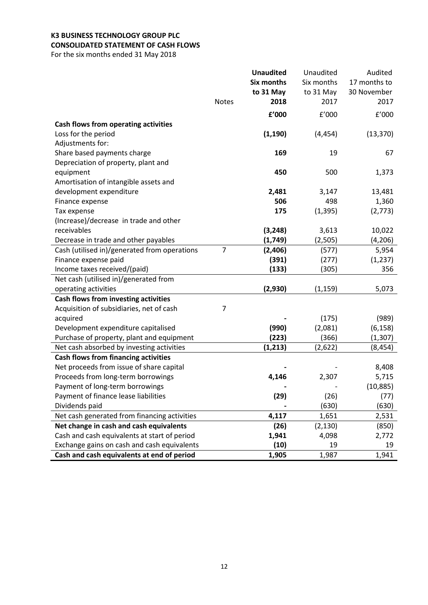# **K3 BUSINESS TECHNOLOGY GROUP PLC CONSOLIDATED STATEMENT OF CASH FLOWS**

For the six months ended 31 May 2018

|                                              |                | <b>Unaudited</b>  | Unaudited  | Audited      |
|----------------------------------------------|----------------|-------------------|------------|--------------|
|                                              |                | <b>Six months</b> | Six months | 17 months to |
|                                              |                | to 31 May         | to 31 May  | 30 November  |
|                                              | <b>Notes</b>   | 2018              | 2017       | 2017         |
|                                              |                | £'000             | f'000      | E'000        |
| Cash flows from operating activities         |                |                   |            |              |
| Loss for the period                          |                | (1, 190)          | (4, 454)   | (13, 370)    |
| Adjustments for:                             |                |                   |            |              |
| Share based payments charge                  |                | 169               | 19         | 67           |
| Depreciation of property, plant and          |                |                   |            |              |
| equipment                                    |                | 450               | 500        | 1,373        |
| Amortisation of intangible assets and        |                |                   |            |              |
| development expenditure                      |                | 2,481             | 3,147      | 13,481       |
| Finance expense                              |                | 506               | 498        | 1,360        |
| Tax expense                                  |                | 175               | (1, 395)   | (2, 773)     |
| (Increase)/decrease in trade and other       |                |                   |            |              |
| receivables                                  |                | (3, 248)          | 3,613      | 10,022       |
| Decrease in trade and other payables         |                | (1,749)           | (2,505)    | (4, 206)     |
| Cash (utilised in)/generated from operations | $\overline{7}$ | (2, 406)          | (577)      | 5,954        |
| Finance expense paid                         |                | (391)             | (277)      | (1, 237)     |
| Income taxes received/(paid)                 |                | (133)             | (305)      | 356          |
| Net cash (utilised in)/generated from        |                |                   |            |              |
| operating activities                         |                | (2,930)           | (1, 159)   | 5,073        |
| Cash flows from investing activities         |                |                   |            |              |
| Acquisition of subsidiaries, net of cash     | $\overline{7}$ |                   |            |              |
| acquired                                     |                |                   | (175)      | (989)        |
| Development expenditure capitalised          |                | (990)             | (2,081)    | (6, 158)     |
| Purchase of property, plant and equipment    |                | (223)             | (366)      | (1, 307)     |
| Net cash absorbed by investing activities    |                | (1, 213)          | (2,622)    | (8, 454)     |
| <b>Cash flows from financing activities</b>  |                |                   |            |              |
| Net proceeds from issue of share capital     |                |                   |            | 8,408        |
| Proceeds from long-term borrowings           |                | 4,146             | 2,307      | 5,715        |
| Payment of long-term borrowings              |                |                   |            | (10, 885)    |
| Payment of finance lease liabilities         |                | (29)              | (26)       | (77)         |
| Dividends paid                               |                |                   | (630)      | (630)        |
| Net cash generated from financing activities |                | 4,117             | 1,651      | 2,531        |
| Net change in cash and cash equivalents      |                | (26)              | (2, 130)   | (850)        |
| Cash and cash equivalents at start of period |                | 1,941             | 4,098      | 2,772        |
| Exchange gains on cash and cash equivalents  |                | (10)              | 19         | 19           |
| Cash and cash equivalents at end of period   |                | 1,905             | 1,987      | 1,941        |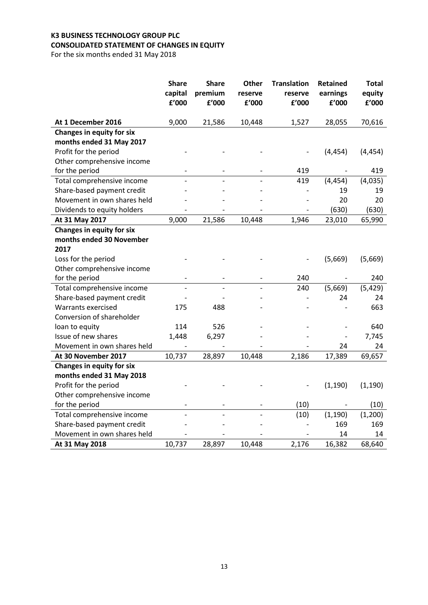# **K3 BUSINESS TECHNOLOGY GROUP PLC CONSOLIDATED STATEMENT OF CHANGES IN EQUITY**

For the six months ended 31 May 2018

|                                  | <b>Share</b><br>capital<br>£'000 | <b>Share</b><br>premium<br>${\bf f}^{\prime}$ 000 | <b>Other</b><br>reserve<br>£'000 | <b>Translation</b><br>reserve<br>f'000 | <b>Retained</b><br>earnings<br>£'000 | <b>Total</b><br>equity<br>${\bf f}^{\prime}$ 000 |
|----------------------------------|----------------------------------|---------------------------------------------------|----------------------------------|----------------------------------------|--------------------------------------|--------------------------------------------------|
| At 1 December 2016               | 9,000                            | 21,586                                            | 10,448                           | 1,527                                  | 28,055                               | 70,616                                           |
| <b>Changes in equity for six</b> |                                  |                                                   |                                  |                                        |                                      |                                                  |
| months ended 31 May 2017         |                                  |                                                   |                                  |                                        |                                      |                                                  |
| Profit for the period            |                                  |                                                   |                                  |                                        | (4, 454)                             | (4, 454)                                         |
| Other comprehensive income       |                                  |                                                   |                                  |                                        |                                      |                                                  |
| for the period                   |                                  |                                                   |                                  | 419                                    |                                      | 419                                              |
| Total comprehensive income       |                                  |                                                   |                                  | 419                                    | (4, 454)                             | (4,035)                                          |
| Share-based payment credit       |                                  |                                                   |                                  |                                        | 19                                   | 19                                               |
| Movement in own shares held      |                                  |                                                   |                                  |                                        | 20                                   | 20                                               |
| Dividends to equity holders      |                                  |                                                   |                                  |                                        | (630)                                | (630)                                            |
| At 31 May 2017                   | 9,000                            | 21,586                                            | 10,448                           | 1,946                                  | 23,010                               | 65,990                                           |
| <b>Changes in equity for six</b> |                                  |                                                   |                                  |                                        |                                      |                                                  |
| months ended 30 November         |                                  |                                                   |                                  |                                        |                                      |                                                  |
| 2017                             |                                  |                                                   |                                  |                                        |                                      |                                                  |
| Loss for the period              |                                  |                                                   |                                  |                                        | (5,669)                              | (5,669)                                          |
| Other comprehensive income       |                                  |                                                   |                                  |                                        |                                      |                                                  |
| for the period                   |                                  |                                                   |                                  | 240                                    |                                      | 240                                              |
| Total comprehensive income       |                                  |                                                   |                                  | 240                                    | (5,669)                              | (5, 429)                                         |
| Share-based payment credit       |                                  |                                                   |                                  |                                        | 24                                   | 24                                               |
| Warrants exercised               | 175                              | 488                                               |                                  |                                        |                                      | 663                                              |
| Conversion of shareholder        |                                  |                                                   |                                  |                                        |                                      |                                                  |
| loan to equity                   | 114                              | 526                                               |                                  |                                        |                                      | 640                                              |
| Issue of new shares              | 1,448                            | 6,297                                             |                                  |                                        |                                      | 7,745                                            |
| Movement in own shares held      |                                  |                                                   |                                  |                                        | 24                                   | 24                                               |
| At 30 November 2017              | 10,737                           | 28,897                                            | 10,448                           | 2,186                                  | 17,389                               | 69,657                                           |
| <b>Changes in equity for six</b> |                                  |                                                   |                                  |                                        |                                      |                                                  |
| months ended 31 May 2018         |                                  |                                                   |                                  |                                        |                                      |                                                  |
| Profit for the period            |                                  |                                                   |                                  |                                        | (1, 190)                             | (1, 190)                                         |
| Other comprehensive income       |                                  |                                                   |                                  |                                        |                                      |                                                  |
| for the period                   |                                  |                                                   |                                  | (10)                                   |                                      | (10)                                             |
| Total comprehensive income       |                                  |                                                   |                                  | (10)                                   | (1, 190)                             | (1,200)                                          |
| Share-based payment credit       |                                  |                                                   |                                  |                                        | 169                                  | 169                                              |
| Movement in own shares held      |                                  |                                                   |                                  |                                        | 14                                   | 14                                               |
| At 31 May 2018                   | 10,737                           | 28,897                                            | 10,448                           | 2,176                                  | 16,382                               | 68,640                                           |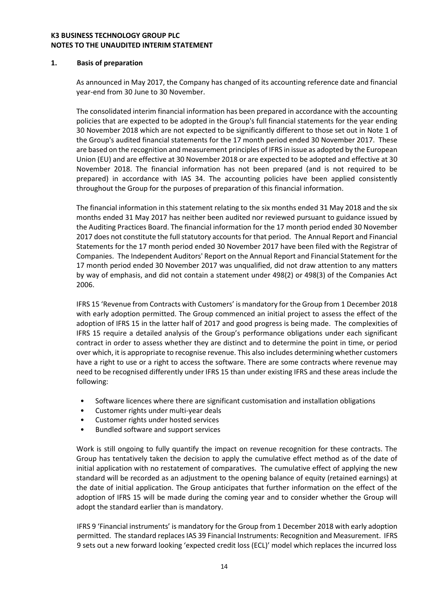## **K3 BUSINESS TECHNOLOGY GROUP PLC NOTES TO THE UNAUDITED INTERIM STATEMENT**

## **1. Basis of preparation**

As announced in May 2017, the Company has changed of its accounting reference date and financial year-end from 30 June to 30 November.

The consolidated interim financial information has been prepared in accordance with the accounting policies that are expected to be adopted in the Group's full financial statements for the year ending 30 November 2018 which are not expected to be significantly different to those set out in Note 1 of the Group's audited financial statements for the 17 month period ended 30 November 2017. These are based on the recognition and measurement principles of IFRS in issue as adopted by the European Union (EU) and are effective at 30 November 2018 or are expected to be adopted and effective at 30 November 2018. The financial information has not been prepared (and is not required to be prepared) in accordance with IAS 34. The accounting policies have been applied consistently throughout the Group for the purposes of preparation of this financial information.

The financial information in this statement relating to the six months ended 31 May 2018 and the six months ended 31 May 2017 has neither been audited nor reviewed pursuant to guidance issued by the Auditing Practices Board. The financial information for the 17 month period ended 30 November 2017 does not constitute the full statutory accounts for that period. The Annual Report and Financial Statements for the 17 month period ended 30 November 2017 have been filed with the Registrar of Companies. The Independent Auditors' Report on the Annual Report and Financial Statement for the 17 month period ended 30 November 2017 was unqualified, did not draw attention to any matters by way of emphasis, and did not contain a statement under 498(2) or 498(3) of the Companies Act 2006.

IFRS 15 'Revenue from Contracts with Customers' is mandatory for the Group from 1 December 2018 with early adoption permitted. The Group commenced an initial project to assess the effect of the adoption of IFRS 15 in the latter half of 2017 and good progress is being made. The complexities of IFRS 15 require a detailed analysis of the Group's performance obligations under each significant contract in order to assess whether they are distinct and to determine the point in time, or period over which, it is appropriate to recognise revenue. This also includes determining whether customers have a right to use or a right to access the software. There are some contracts where revenue may need to be recognised differently under IFRS 15 than under existing IFRS and these areas include the following:

- Software licences where there are significant customisation and installation obligations
- Customer rights under multi-year deals
- Customer rights under hosted services
- Bundled software and support services

Work is still ongoing to fully quantify the impact on revenue recognition for these contracts. The Group has tentatively taken the decision to apply the cumulative effect method as of the date of initial application with no restatement of comparatives. The cumulative effect of applying the new standard will be recorded as an adjustment to the opening balance of equity (retained earnings) at the date of initial application. The Group anticipates that further information on the effect of the adoption of IFRS 15 will be made during the coming year and to consider whether the Group will adopt the standard earlier than is mandatory.

IFRS 9 'Financial instruments' is mandatory for the Group from 1 December 2018 with early adoption permitted. The standard replaces IAS 39 Financial Instruments: Recognition and Measurement. IFRS 9 sets out a new forward looking 'expected credit loss (ECL)' model which replaces the incurred loss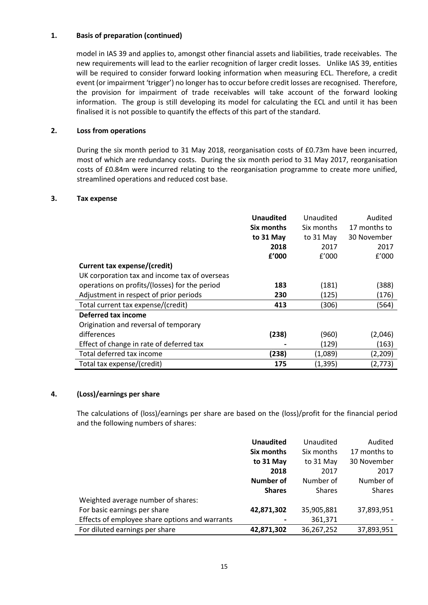## **1. Basis of preparation (continued)**

model in IAS 39 and applies to, amongst other financial assets and liabilities, trade receivables. The new requirements will lead to the earlier recognition of larger credit losses. Unlike IAS 39, entities will be required to consider forward looking information when measuring ECL. Therefore, a credit event (or impairment 'trigger') no longer has to occur before credit losses are recognised. Therefore, the provision for impairment of trade receivables will take account of the forward looking information. The group is still developing its model for calculating the ECL and until it has been finalised it is not possible to quantify the effects of this part of the standard.

# **2. Loss from operations**

During the six month period to 31 May 2018, reorganisation costs of £0.73m have been incurred, most of which are redundancy costs. During the six month period to 31 May 2017, reorganisation costs of £0.84m were incurred relating to the reorganisation programme to create more unified, streamlined operations and reduced cost base.

#### **3. Tax expense**

|                                               | <b>Unaudited</b> | Unaudited  | Audited      |
|-----------------------------------------------|------------------|------------|--------------|
|                                               | Six months       | Six months | 17 months to |
|                                               | to 31 May        | to 31 May  | 30 November  |
|                                               | 2018             | 2017       | 2017         |
|                                               | f'000            | f'000      | f'000        |
| Current tax expense/(credit)                  |                  |            |              |
| UK corporation tax and income tax of overseas |                  |            |              |
| operations on profits/(losses) for the period | 183              | (181)      | (388)        |
| Adjustment in respect of prior periods        | 230              | (125)      | (176)        |
| Total current tax expense/(credit)            | 413              | (306)      | (564)        |
| Deferred tax income                           |                  |            |              |
| Origination and reversal of temporary         |                  |            |              |
| differences                                   | (238)            | (960)      | (2,046)      |
| Effect of change in rate of deferred tax      |                  | (129)      | (163)        |
| Total deferred tax income                     | (238)            | (1,089)    | (2,209)      |
| Total tax expense/(credit)                    | 175              | (1, 395)   | (2,773)      |

## **4. (Loss)/earnings per share**

The calculations of (loss)/earnings per share are based on the (loss)/profit for the financial period and the following numbers of shares:

|                                                | <b>Unaudited</b> | Unaudited     | Audited       |
|------------------------------------------------|------------------|---------------|---------------|
|                                                | Six months       | Six months    | 17 months to  |
|                                                | to 31 May        | to 31 May     | 30 November   |
|                                                | 2018             | 2017          | 2017          |
|                                                | <b>Number of</b> | Number of     | Number of     |
|                                                | <b>Shares</b>    | <b>Shares</b> | <b>Shares</b> |
| Weighted average number of shares:             |                  |               |               |
| For basic earnings per share                   | 42,871,302       | 35,905,881    | 37,893,951    |
| Effects of employee share options and warrants |                  | 361,371       |               |
| For diluted earnings per share                 | 42,871,302       | 36,267,252    | 37,893,951    |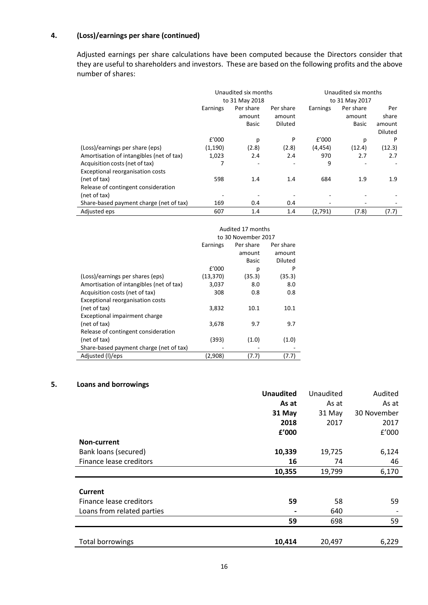# **4. (Loss)/earnings per share (continued)**

Adjusted earnings per share calculations have been computed because the Directors consider that they are useful to shareholders and investors. These are based on the following profits and the above number of shares:

|                                          | Unaudited six months<br>to 31 May 2018 |                          |           | Unaudited six months<br>to 31 May 2017 |           |                |
|------------------------------------------|----------------------------------------|--------------------------|-----------|----------------------------------------|-----------|----------------|
|                                          | Earnings                               | Per share                | Per share | Earnings                               | Per share | Per            |
|                                          |                                        | amount                   | amount    |                                        | amount    | share          |
|                                          |                                        | Basic                    | Diluted   |                                        | Basic     | amount         |
|                                          |                                        |                          |           |                                        |           | <b>Diluted</b> |
|                                          | f'000                                  | p                        | P         | f'000                                  | р         | P              |
| (Loss)/earnings per share (eps)          | (1, 190)                               | (2.8)                    | (2.8)     | (4, 454)                               | (12.4)    | (12.3)         |
| Amortisation of intangibles (net of tax) | 1,023                                  | 2.4                      | 2.4       | 970                                    | 2.7       | 2.7            |
| Acquisition costs (net of tax)           |                                        | $\overline{\phantom{a}}$ |           | 9                                      |           |                |
| Exceptional reorganisation costs         |                                        |                          |           |                                        |           |                |
| (net of tax)                             | 598                                    | 1.4                      | 1.4       | 684                                    | 1.9       | 1.9            |
| Release of contingent consideration      |                                        |                          |           |                                        |           |                |
| (net of tax)                             |                                        |                          |           | -                                      |           |                |
| Share-based payment charge (net of tax)  | 169                                    | 0.4                      | 0.4       |                                        |           |                |
| Adjusted eps                             | 607                                    | 1.4                      | 1.4       | (2,791)                                | (7.8)     | (7.7)          |

|                                          | Audited 17 months   |              |                |  |
|------------------------------------------|---------------------|--------------|----------------|--|
|                                          | to 30 November 2017 |              |                |  |
|                                          | Earnings            | Per share    | Per share      |  |
|                                          |                     | amount       | amount         |  |
|                                          |                     | <b>Basic</b> | <b>Diluted</b> |  |
|                                          | f'000               | р            | P              |  |
| (Loss)/earnings per shares (eps)         | (13, 370)           | (35.3)       | (35.3)         |  |
| Amortisation of intangibles (net of tax) | 3,037               | 8.0          | 8.0            |  |
| Acquisition costs (net of tax)           | 308                 | 0.8          | 0.8            |  |
| Exceptional reorganisation costs         |                     |              |                |  |
| (net of tax)                             | 3,832               | 10.1         | 10.1           |  |
| Exceptional impairment charge            |                     |              |                |  |
| (net of tax)                             | 3,678               | 9.7          | 9.7            |  |
| Release of contingent consideration      |                     |              |                |  |
| (net of tax)                             | (393)               | (1.0)        | (1.0)          |  |
| Share-based payment charge (net of tax)  |                     |              |                |  |
| Adjusted (I)/eps                         | (2,908)             | (7.7)        | 17.7           |  |

# **5. Loans and borrowings**

|                            | <b>Unaudited</b> | Unaudited | Audited     |
|----------------------------|------------------|-----------|-------------|
|                            | As at            | As at     | As at       |
|                            | 31 May           | 31 May    | 30 November |
|                            | 2018             | 2017      | 2017        |
|                            | £'000            |           | f'000       |
| Non-current                |                  |           |             |
| Bank loans (secured)       | 10,339           | 19,725    | 6,124       |
| Finance lease creditors    | 16               | 74        | 46          |
|                            | 10,355           | 19,799    | 6,170       |
|                            |                  |           |             |
| Current                    |                  |           |             |
| Finance lease creditors    | 59               | 58        | 59          |
| Loans from related parties |                  | 640       |             |
|                            | 59               | 698       | 59          |
|                            |                  |           |             |
| Total borrowings           | 10,414           | 20,497    | 6,229       |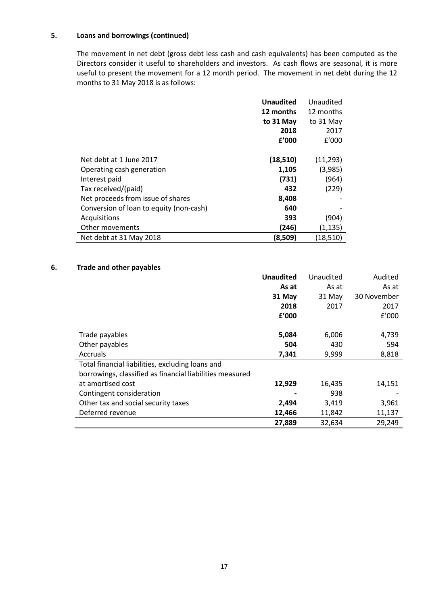# **5. Loans and borrowings (continued)**

The movement in net debt (gross debt less cash and cash equivalents) has been computed as the Directors consider it useful to shareholders and investors. As cash flows are seasonal, it is more useful to present the movement for a 12 month period. The movement in net debt during the 12 months to 31 May 2018 is as follows:

|                                         | <b>Unaudited</b> | Unaudited |
|-----------------------------------------|------------------|-----------|
|                                         | 12 months        | 12 months |
|                                         | to 31 May        | to 31 May |
|                                         | 2018             | 2017      |
|                                         | f'000            | f'000     |
|                                         |                  |           |
| Net debt at 1 June 2017                 | (18, 510)        | (11, 293) |
| Operating cash generation               | 1,105            | (3,985)   |
| Interest paid                           | (731)            | (964)     |
| Tax received/(paid)                     | 432              | (229)     |
| Net proceeds from issue of shares       | 8,408            |           |
| Conversion of loan to equity (non-cash) | 640              |           |
| Acquisitions                            | 393              | (904)     |
| Other movements                         | (246)            | (1, 135)  |
| Net debt at 31 May 2018                 | (8,509)          | (18, 510) |

## **6. Trade and other payables**

|                                                          | <b>Unaudited</b> | Unaudited | Audited     |
|----------------------------------------------------------|------------------|-----------|-------------|
|                                                          | As at            | As at     | As at       |
|                                                          | 31 May           | 31 May    | 30 November |
|                                                          | 2018             | 2017      | 2017        |
|                                                          | £'000            |           | f'000       |
|                                                          |                  |           |             |
| Trade payables                                           | 5,084            | 6,006     | 4,739       |
| Other payables                                           | 504              | 430       | 594         |
| <b>Accruals</b>                                          | 7,341            | 9,999     | 8,818       |
| Total financial liabilities, excluding loans and         |                  |           |             |
| borrowings, classified as financial liabilities measured |                  |           |             |
| at amortised cost                                        | 12,929           | 16,435    | 14,151      |
| Contingent consideration                                 |                  | 938       |             |
| Other tax and social security taxes                      | 2,494            | 3,419     | 3,961       |
| Deferred revenue                                         | 12,466           | 11,842    | 11,137      |
|                                                          | 27,889           | 32,634    | 29,249      |